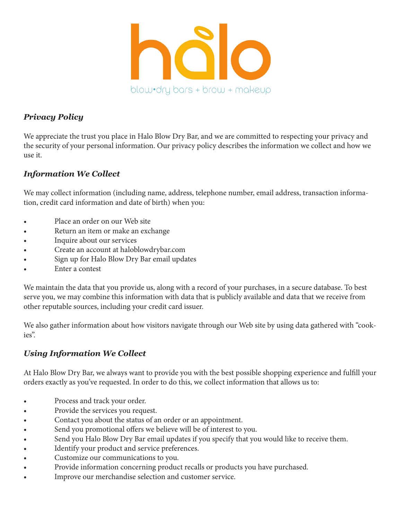

### *Privacy Policy*

We appreciate the trust you place in Halo Blow Dry Bar, and we are committed to respecting your privacy and the security of your personal information. Our privacy policy describes the information we collect and how we use it.

## *Information We Collect*

We may collect information (including name, address, telephone number, email address, transaction information, credit card information and date of birth) when you:

- Place an order on our Web site
- Return an item or make an exchange
- Inquire about our services
- Create an account at haloblowdrybar.com
- Sign up for Halo Blow Dry Bar email updates
- Enter a contest

We maintain the data that you provide us, along with a record of your purchases, in a secure database. To best serve you, we may combine this information with data that is publicly available and data that we receive from other reputable sources, including your credit card issuer.

We also gather information about how visitors navigate through our Web site by using data gathered with "cookies".

# *Using Information We Collect*

At Halo Blow Dry Bar, we always want to provide you with the best possible shopping experience and fulfill your orders exactly as you've requested. In order to do this, we collect information that allows us to:

- Process and track your order.
- Provide the services you request.
- Contact you about the status of an order or an appointment.
- Send you promotional offers we believe will be of interest to you.
- Send you Halo Blow Dry Bar email updates if you specify that you would like to receive them.
- Identify your product and service preferences.
- Customize our communications to you.
- Provide information concerning product recalls or products you have purchased.
- Improve our merchandise selection and customer service.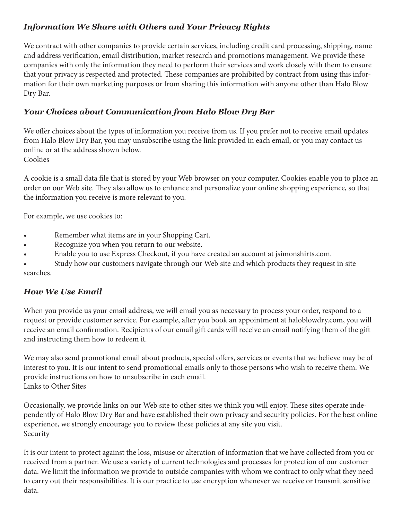## *Information We Share with Others and Your Privacy Rights*

We contract with other companies to provide certain services, including credit card processing, shipping, name and address verification, email distribution, market research and promotions management. We provide these companies with only the information they need to perform their services and work closely with them to ensure that your privacy is respected and protected. These companies are prohibited by contract from using this information for their own marketing purposes or from sharing this information with anyone other than Halo Blow Dry Bar.

### *Your Choices about Communication from Halo Blow Dry Bar*

We offer choices about the types of information you receive from us. If you prefer not to receive email updates from Halo Blow Dry Bar, you may unsubscribe using the link provided in each email, or you may contact us online or at the address shown below. Cookies

A cookie is a small data file that is stored by your Web browser on your computer. Cookies enable you to place an order on our Web site. They also allow us to enhance and personalize your online shopping experience, so that the information you receive is more relevant to you.

For example, we use cookies to:

- Remember what items are in your Shopping Cart.
- Recognize you when you return to our website.
- Enable you to use Express Checkout, if you have created an account at jsimonshirts.com.

Study how our customers navigate through our Web site and which products they request in site searches.

#### *How We Use Email*

When you provide us your email address, we will email you as necessary to process your order, respond to a request or provide customer service. For example, after you book an appointment at haloblowdry.com, you will receive an email confirmation. Recipients of our email gift cards will receive an email notifying them of the gift and instructing them how to redeem it.

We may also send promotional email about products, special offers, services or events that we believe may be of interest to you. It is our intent to send promotional emails only to those persons who wish to receive them. We provide instructions on how to unsubscribe in each email. Links to Other Sites

Occasionally, we provide links on our Web site to other sites we think you will enjoy. These sites operate independently of Halo Blow Dry Bar and have established their own privacy and security policies. For the best online experience, we strongly encourage you to review these policies at any site you visit. Security

It is our intent to protect against the loss, misuse or alteration of information that we have collected from you or received from a partner. We use a variety of current technologies and processes for protection of our customer data. We limit the information we provide to outside companies with whom we contract to only what they need to carry out their responsibilities. It is our practice to use encryption whenever we receive or transmit sensitive data.